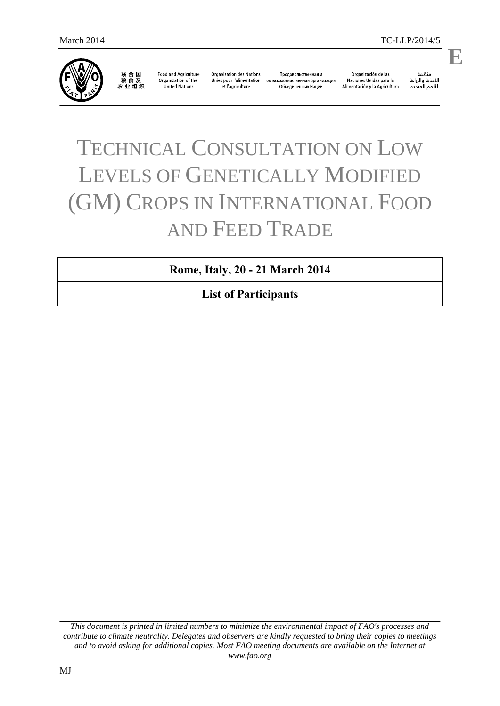

联合国<br>粮食及 农业组织

**Food and Agriculture** Organization of the United Nations

**Organisation des Nations** Unies pour l'alimentation et l'agriculture

Продовольственная и сельскохозяйственная организация Объединенных Наций

Organización de las Naciones Unidas para la Alimentación y la Agricultura

änhin ستنس<br>الأغذية والزراعة<br>للأمم المتددة

.

**E**

# TECHNICAL CONSULTATION ON LOW LEVELS OF GENETICALLY MODIFIED (GM) CROPS IN INTERNATIONAL FOOD AND FEED TRADE

**Rome, Italy, 20 - 21 March 2014**

**List of Participants**

*This document is printed in limited numbers to minimize the environmental impact of FAO's processes and contribute to climate neutrality. Delegates and observers are kindly requested to bring their copies to meetings and to avoid asking for additional copies. Most FAO meeting documents are available on the Internet at www.fao.org*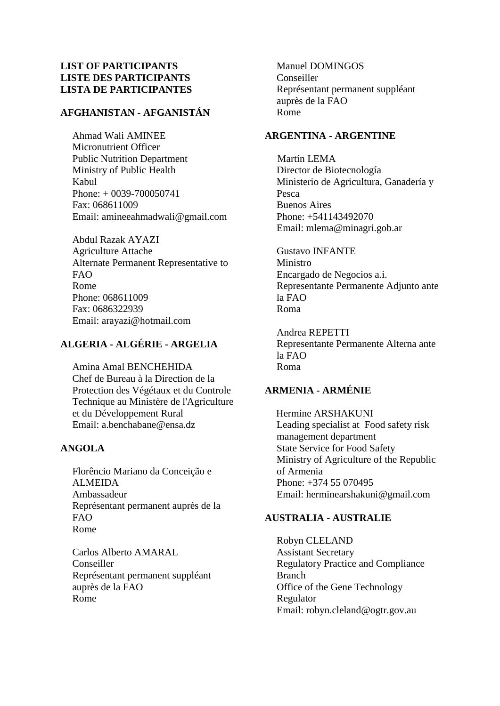## **LIST OF PARTICIPANTS LISTE DES PARTICIPANTS LISTA DE PARTICIPANTES**

# **AFGHANISTAN - AFGANISTÁN**

Ahmad Wali AMINEE Micronutrient Officer Public Nutrition Department Ministry of Public Health Kabul Phone: + 0039-700050741 Fax: 068611009 Email: amineeahmadwali@gmail.com

Abdul Razak AYAZI Agriculture Attache Alternate Permanent Representative to FAO Rome Phone: 068611009 Fax: 0686322939 Email: arayazi@hotmail.com

# **ALGERIA - ALGÉRIE - ARGELIA**

Amina Amal BENCHEHIDA Chef de Bureau à la Direction de la Protection des Végétaux et du Controle Technique au Ministère de l'Agriculture et du Développement Rural Email: a.benchabane@ensa.dz

## **ANGOLA**

Florêncio Mariano da Conceição e ALMEIDA Ambassadeur Représentant permanent auprès de la FAO Rome

Carlos Alberto AMARAL Conseiller Représentant permanent suppléant auprès de la FAO Rome

Manuel DOMINGOS Conseiller Représentant permanent suppléant auprès de la FAO Rome

## **ARGENTINA - ARGENTINE**

 Martín LEMA Director de Biotecnología Ministerio de Agricultura, Ganadería y Pesca Buenos Aires Phone: +541143492070 Email: mlema@minagri.gob.ar

Gustavo INFANTE Ministro Encargado de Negocios a.i. Representante Permanente Adjunto ante la FAO Roma

Andrea REPETTI Representante Permanente Alterna ante la FAO Roma

# **ARMENIA - ARMÉNIE**

Hermine ARSHAKUNI Leading specialist at Food safety risk management department State Service for Food Safety Ministry of Agriculture of the Republic of Armenia Phone: +374 55 070495 Email: herminearshakuni@gmail.com

## **AUSTRALIA - AUSTRALIE**

Robyn CLELAND Assistant Secretary Regulatory Practice and Compliance Branch Office of the Gene Technology Regulator Email: robyn.cleland@ogtr.gov.au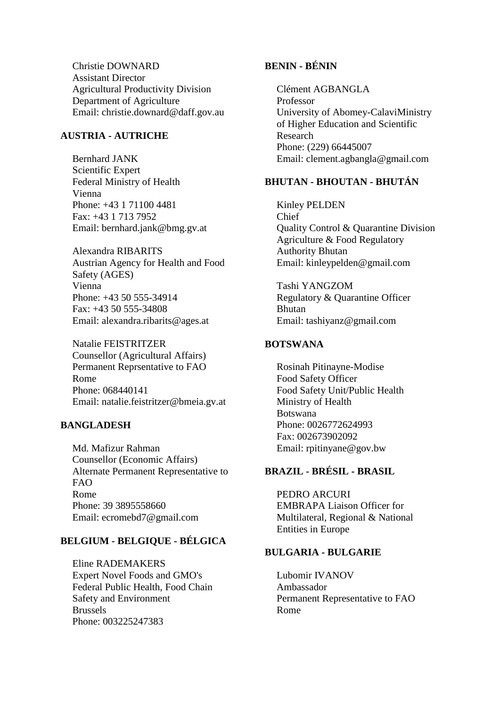Christie DOWNARD Assistant Director Agricultural Productivity Division Department of Agriculture Email: christie.downard@daff.gov.au

#### **AUSTRIA - AUTRICHE**

Bernhard JANK Scientific Expert Federal Ministry of Health Vienna Phone: +43 1 71100 4481 Fax: +43 1 713 7952 Email: bernhard.jank@bmg.gv.at

Alexandra RIBARITS Austrian Agency for Health and Food Safety (AGES) Vienna Phone: +43 50 555-34914 Fax: +43 50 555-34808 Email: alexandra.ribarits@ages.at

Natalie FEISTRITZER Counsellor (Agricultural Affairs) Permanent Reprsentative to FAO Rome Phone: 068440141 Email: natalie.feistritzer@bmeia.gv.at

#### **BANGLADESH**

Md. Mafizur Rahman Counsellor (Economic Affairs) Alternate Permanent Representative to FAO Rome Phone: 39 3895558660 Email: ecromebd7@gmail.com

#### **BELGIUM - BELGIQUE - BÉLGICA**

Eline RADEMAKERS Expert Novel Foods and GMO's Federal Public Health, Food Chain Safety and Environment Brussels Phone: 003225247383

## **BENIN - BÉNIN**

Clément AGBANGLA Professor University of Abomey-CalaviMinistry of Higher Education and Scientific Research Phone: (229) 66445007 Email: clement.agbangla@gmail.com

# **BHUTAN - BHOUTAN - BHUTÁN**

Kinley PELDEN Chief Quality Control & Quarantine Division Agriculture & Food Regulatory Authority Bhutan Email: kinleypelden@gmail.com

Tashi YANGZOM Regulatory & Quarantine Officer Bhutan Email: tashiyanz@gmail.com

## **BOTSWANA**

Rosinah Pitinayne-Modise Food Safety Officer Food Safety Unit/Public Health Ministry of Health Botswana Phone: 0026772624993 Fax: 002673902092 Email: rpitinyane@gov.bw

# **BRAZIL - BRÉSIL - BRASIL**

PEDRO ARCURI EMBRAPA Liaison Officer for Multilateral, Regional & National Entities in Europe

## **BULGARIA - BULGARIE**

Lubomir IVANOV Ambassador Permanent Representative to FAO Rome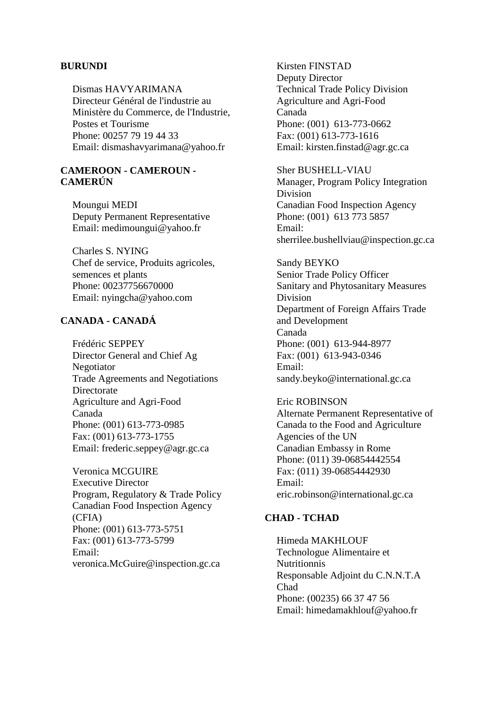#### **BURUNDI**

Dismas HAVYARIMANA Directeur Général de l'industrie au Ministère du Commerce, de l'Industrie, Postes et Tourisme Phone: 00257 79 19 44 33 Email: dismashavyarimana@yahoo.fr

### **CAMEROON - CAMEROUN - CAMERÚN**

Moungui MEDI Deputy Permanent Representative Email: medimoungui@yahoo.fr

Charles S. NYING Chef de service, Produits agricoles, semences et plants Phone: 00237756670000 Email: nyingcha@yahoo.com

## **CANADA - CANADÁ**

Frédéric SEPPEY Director General and Chief Ag Negotiator Trade Agreements and Negotiations Directorate Agriculture and Agri-Food Canada Phone: (001) 613-773-0985 Fax: (001) 613-773-1755 Email: frederic.seppey@agr.gc.ca

Veronica MCGUIRE Executive Director Program, Regulatory & Trade Policy Canadian Food Inspection Agency (CFIA) Phone: (001) 613-773-5751 Fax: (001) 613-773-5799 Email: veronica.McGuire@inspection.gc.ca

Kirsten FINSTAD Deputy Director Technical Trade Policy Division Agriculture and Agri-Food Canada Phone: (001) 613-773-0662 Fax: (001) 613-773-1616 Email: kirsten.finstad@agr.gc.ca

Sher BUSHELL-VIAU Manager, Program Policy Integration Division Canadian Food Inspection Agency Phone: (001) 613 773 5857 Email: sherrilee.bushellviau@inspection.gc.ca

Sandy BEYKO Senior Trade Policy Officer Sanitary and Phytosanitary Measures Division Department of Foreign Affairs Trade and Development Canada Phone: (001) 613-944-8977 Fax: (001) 613-943-0346 Email: sandy.beyko@international.gc.ca

## Eric ROBINSON Alternate Permanent Representative of Canada to the Food and Agriculture Agencies of the UN Canadian Embassy in Rome Phone: (011) 39-06854442554 Fax: (011) 39-06854442930 Email:

eric.robinson@international.gc.ca

## **CHAD - TCHAD**

Himeda MAKHLOUF Technologue Alimentaire et Nutritionnis Responsable Adjoint du C.N.N.T.A Chad Phone: (00235) 66 37 47 56 Email: himedamakhlouf@yahoo.fr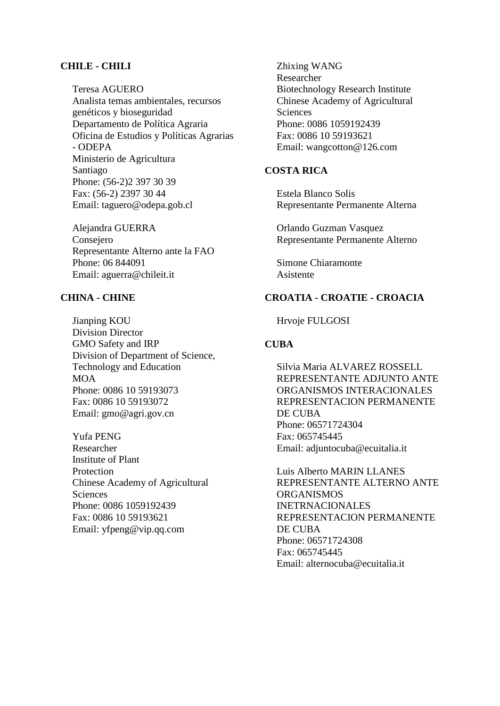#### **CHILE - CHILI**

Teresa AGUERO Analista temas ambientales, recursos genéticos y bioseguridad Departamento de Política Agraria Oficina de Estudios y Políticas Agrarias - ODEPA Ministerio de Agricultura Santiago Phone: (56-2)2 397 30 39 Fax: (56-2) 2397 30 44 Email: taguero@odepa.gob.cl

Alejandra GUERRA Consejero Representante Alterno ante la FAO Phone: 06 844091 Email: aguerra@chileit.it

#### **CHINA - CHINE**

Jianping KOU Division Director GMO Safety and IRP Division of Department of Science, Technology and Education MOA Phone: 0086 10 59193073 Fax: 0086 10 59193072 Email: gmo@agri.gov.cn

Yufa PENG Researcher Institute of Plant Protection Chinese Academy of Agricultural **Sciences** Phone: 0086 1059192439 Fax: 0086 10 59193621 Email: yfpeng@vip.qq.com

Zhixing WANG Researcher Biotechnology Research Institute Chinese Academy of Agricultural **Sciences** Phone: 0086 1059192439 Fax: 0086 10 59193621 Email: wangcotton@126.com

## **COSTA RICA**

Estela Blanco Solis Representante Permanente Alterna

Orlando Guzman Vasquez Representante Permanente Alterno

Simone Chiaramonte Asistente

## **CROATIA - CROATIE - CROACIA**

Hrvoje FULGOSI

#### **CUBA**

Silvia Maria ALVAREZ ROSSELL REPRESENTANTE ADJUNTO ANTE ORGANISMOS INTERACIONALES REPRESENTACION PERMANENTE DE CUBA Phone: 06571724304 Fax: 065745445 Email: adjuntocuba@ecuitalia.it

Luis Alberto MARIN LLANES REPRESENTANTE ALTERNO ANTE ORGANISMOS INETRNACIONALES REPRESENTACION PERMANENTE DE CUBA Phone: 06571724308 Fax: 065745445 Email: alternocuba@ecuitalia.it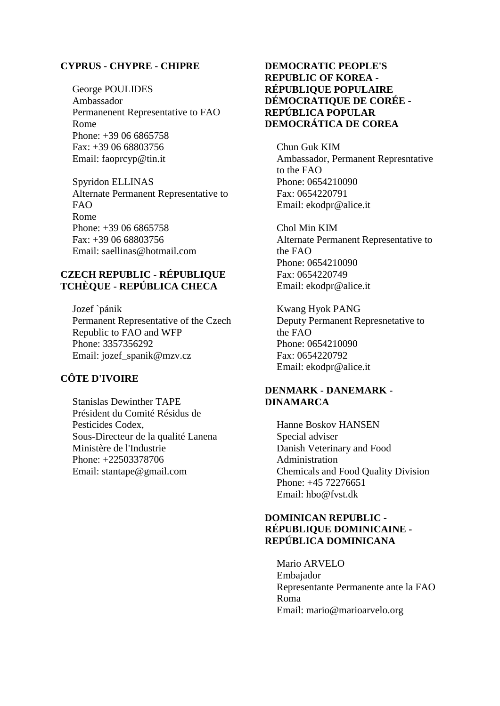#### **CYPRUS - CHYPRE - CHIPRE**

George POULIDES Ambassador Permanenent Representative to FAO Rome Phone: +39 06 6865758 Fax: +39 06 68803756 Email: faoprcyp@tin.it

Spyridon ELLINAS Alternate Permanent Representative to  $FAO$ Rome Phone: +39 06 6865758 Fax: +39 06 68803756 Email: saellinas@hotmail.com

## **CZECH REPUBLIC - RÉPUBLIQUE TCHÈQUE - REPÚBLICA CHECA**

Jozef `pánik Permanent Representative of the Czech Republic to FAO and WFP Phone: 3357356292 Email: jozef\_spanik@mzv.cz

## **CÔTE D'IVOIRE**

Stanislas Dewinther TAPE Président du Comité Résidus de Pesticides Codex, Sous-Directeur de la qualité Lanena Ministère de l'Industrie Phone: +22503378706 Email: stantape@gmail.com

## **DEMOCRATIC PEOPLE'S REPUBLIC OF KOREA - RÉPUBLIQUE POPULAIRE DÉMOCRATIQUE DE CORÉE - REPÚBLICA POPULAR DEMOCRÁTICA DE COREA**

Chun Guk KIM Ambassador, Permanent Represntative to the FAO Phone: 0654210090 Fax: 0654220791 Email: ekodpr@alice.it

Chol Min KIM Alternate Permanent Representative to the FAO Phone: 0654210090 Fax: 0654220749 Email: ekodpr@alice.it

Kwang Hyok PANG Deputy Permanent Represnetative to the FAO Phone: 0654210090 Fax: 0654220792 Email: ekodpr@alice.it

## **DENMARK - DANEMARK - DINAMARCA**

Hanne Boskov HANSEN Special adviser Danish Veterinary and Food Administration Chemicals and Food Quality Division Phone: +45 72276651 Email: hbo@fvst.dk

## **DOMINICAN REPUBLIC - RÉPUBLIQUE DOMINICAINE - REPÚBLICA DOMINICANA**

Mario ARVELO Embajador Representante Permanente ante la FAO Roma Email: mario@marioarvelo.org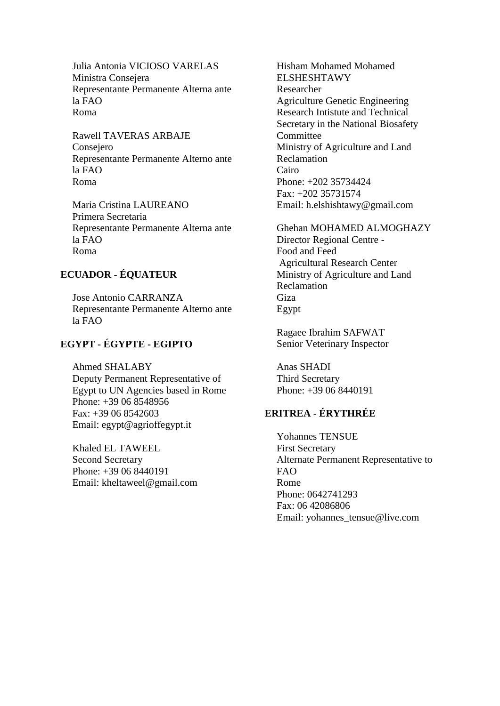Julia Antonia VICIOSO VARELAS Ministra Consejera Representante Permanente Alterna ante la FAO Roma

Rawell TAVERAS ARBAJE Consejero Representante Permanente Alterno ante la FAO Roma

Maria Cristina LAUREANO Primera Secretaria Representante Permanente Alterna ante la FAO Roma

# **ECUADOR - ÉQUATEUR**

Jose Antonio CARRANZA Representante Permanente Alterno ante la FAO

# **EGYPT - ÉGYPTE - EGIPTO**

Ahmed SHALABY Deputy Permanent Representative of Egypt to UN Agencies based in Rome Phone: +39 06 8548956 Fax: +39 06 8542603 Email: egypt@agrioffegypt.it

Khaled EL TAWEEL Second Secretary Phone: +39 06 8440191 Email: kheltaweel@gmail.com Hisham Mohamed Mohamed ELSHESHTAWY Researcher Agriculture Genetic Engineering Research Intistute and Technical Secretary in the National Biosafety Committee Ministry of Agriculture and Land Reclamation Cairo Phone: +202 35734424 Fax: +202 35731574 Email: h.elshishtawy@gmail.com

Ghehan MOHAMED ALMOGHAZY Director Regional Centre - Food and Feed Agricultural Research Center Ministry of Agriculture and Land Reclamation Giza Egypt

Ragaee Ibrahim SAFWAT Senior Veterinary Inspector

Anas SHADI Third Secretary Phone: +39 06 8440191

# **ERITREA - ÉRYTHRÉE**

Yohannes TENSUE First Secretary Alternate Permanent Representative to FAO Rome Phone: 0642741293 Fax: 06 42086806 Email: yohannes\_tensue@live.com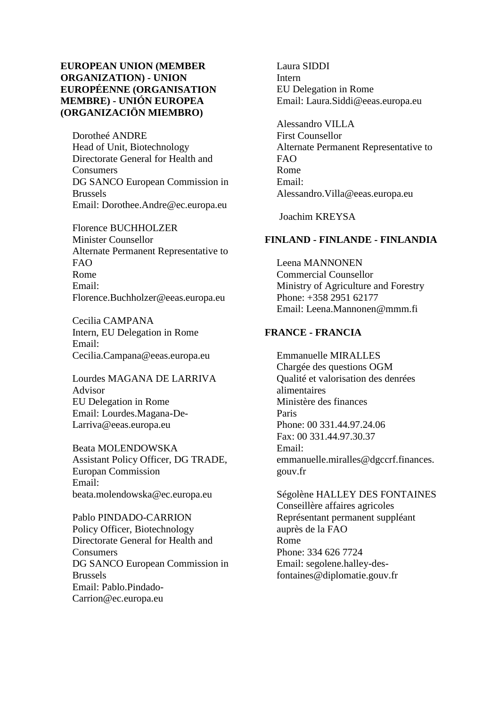## **EUROPEAN UNION (MEMBER ORGANIZATION) - UNION EUROPÉENNE (ORGANISATION MEMBRE) - UNIÓN EUROPEA (ORGANIZACIÖN MIEMBRO)**

Dorotheé ANDRE Head of Unit, Biotechnology Directorate General for Health and **Consumers** DG SANCO European Commission in Brussels Email: Dorothee.Andre@ec.europa.eu

Florence BUCHHOLZER Minister Counsellor Alternate Permanent Representative to FAO Rome Email: Florence.Buchholzer@eeas.europa.eu

Cecilia CAMPANA Intern, EU Delegation in Rome Email: Cecilia.Campana@eeas.europa.eu

Lourdes MAGANA DE LARRIVA Advisor EU Delegation in Rome Email: Lourdes.Magana-De-Larriva@eeas.europa.eu

Beata MOLENDOWSKA Assistant Policy Officer, DG TRADE, Europan Commission Email: beata.molendowska@ec.europa.eu

Pablo PINDADO-CARRION Policy Officer, Biotechnology Directorate General for Health and Consumers DG SANCO European Commission in Brussels Email: Pablo.Pindado-Carrion@ec.europa.eu

Laura SIDDI Intern EU Delegation in Rome Email: Laura.Siddi@eeas.europa.eu

Alessandro VILLA First Counsellor Alternate Permanent Representative to FAO Rome Email: Alessandro.Villa@eeas.europa.eu

Joachim KREYSA

## **FINLAND - FINLANDE - FINLANDIA**

Leena MANNONEN Commercial Counsellor Ministry of Agriculture and Forestry Phone: +358 2951 62177 Email: Leena.Mannonen@mmm.fi

#### **FRANCE - FRANCIA**

Emmanuelle MIRALLES Chargée des questions OGM Qualité et valorisation des denrées alimentaires Ministère des finances Paris Phone: 00 331.44.97.24.06 Fax: 00 331.44.97.30.37 Email: emmanuelle.miralles@dgccrf.finances. gouv.fr

Ségolène HALLEY DES FONTAINES Conseillère affaires agricoles Représentant permanent suppléant auprès de la FAO Rome Phone: 334 626 7724 Email: segolene.halley-desfontaines@diplomatie.gouv.fr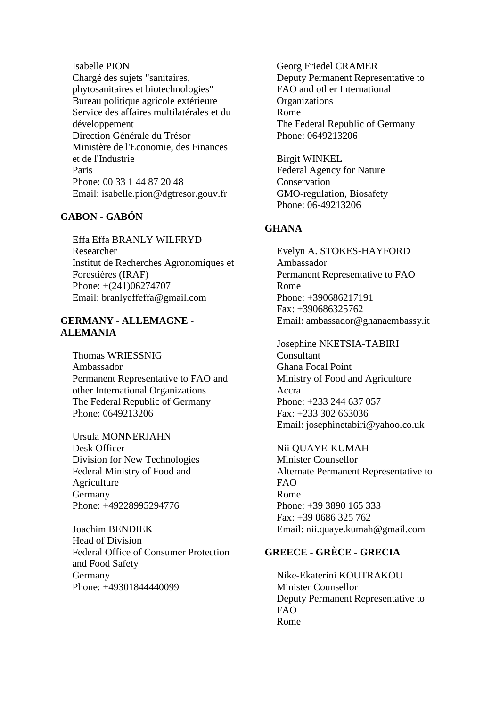Isabelle PION Chargé des sujets "sanitaires, phytosanitaires et biotechnologies" Bureau politique agricole extérieure Service des affaires multilatérales et du développement Direction Générale du Trésor Ministère de l'Economie, des Finances et de l'Industrie Paris Phone: 00 33 1 44 87 20 48 Email: isabelle.pion@dgtresor.gouv.fr

# **GABON - GABÓN**

Effa Effa BRANLY WILFRYD Researcher Institut de Recherches Agronomiques et Forestières (IRAF) Phone: +(241)06274707 Email: branlyeffeffa@gmail.com

## **GERMANY - ALLEMAGNE - ALEMANIA**

Thomas WRIESSNIG Ambassador Permanent Representative to FAO and other International Organizations The Federal Republic of Germany Phone: 0649213206

Ursula MONNERJAHN Desk Officer Division for New Technologies Federal Ministry of Food and Agriculture Germany Phone: +49228995294776

Joachim BENDIEK Head of Division Federal Office of Consumer Protection and Food Safety Germany Phone: +49301844440099

Georg Friedel CRAMER Deputy Permanent Representative to FAO and other International **Organizations** Rome The Federal Republic of Germany Phone: 0649213206

Birgit WINKEL Federal Agency for Nature Conservation GMO-regulation, Biosafety Phone: 06-49213206

## **GHANA**

Evelyn A. STOKES-HAYFORD Ambassador Permanent Representative to FAO Rome Phone: +390686217191 Fax: +390686325762 Email: ambassador@ghanaembassy.it

Josephine NKETSIA-TABIRI Consultant Ghana Focal Point Ministry of Food and Agriculture Accra Phone: +233 244 637 057 Fax: +233 302 663036 Email: josephinetabiri@yahoo.co.uk

Nii QUAYE-KUMAH Minister Counsellor Alternate Permanent Representative to FAO Rome Phone: +39 3890 165 333 Fax: +39 0686 325 762 Email: nii.quaye.kumah@gmail.com

# **GREECE - GRÈCE - GRECIA**

Nike-Ekaterini KOUTRAKOU Minister Counsellor Deputy Permanent Representative to FAO Rome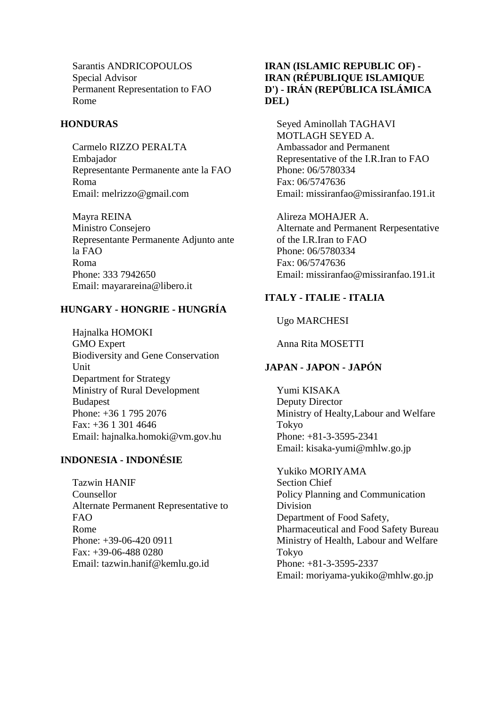Sarantis ANDRICOPOULOS Special Advisor Permanent Representation to FAO Rome

## **HONDURAS**

Carmelo RIZZO PERALTA Embajador Representante Permanente ante la FAO Roma Email: melrizzo@gmail.com

Mayra REINA Ministro Consejero Representante Permanente Adjunto ante la FAO Roma Phone: 333 7942650 Email: mayarareina@libero.it

# **HUNGARY - HONGRIE - HUNGRÍA**

Hajnalka HOMOKI GMO Expert Biodiversity and Gene Conservation Unit Department for Strategy Ministry of Rural Development **Budapest** Phone: +36 1 795 2076 Fax: +36 1 301 4646 Email: hajnalka.homoki@vm.gov.hu

# **INDONESIA - INDONÉSIE**

Tazwin HANIF Counsellor Alternate Permanent Representative to FAO Rome Phone: +39-06-420 0911 Fax: +39-06-488 0280 Email: tazwin.hanif@kemlu.go.id

## **IRAN (ISLAMIC REPUBLIC OF) - IRAN (RÉPUBLIQUE ISLAMIQUE D') - IRÁN (REPÚBLICA ISLÁMICA DEL)**

Seyed Aminollah TAGHAVI MOTLAGH SEYED A. Ambassador and Permanent Representative of the I.R.Iran to FAO Phone: 06/5780334 Fax: 06/5747636 Email: missiranfao@missiranfao.191.it

Alireza MOHAJER A. Alternate and Permanent Rerpesentative of the I.R.Iran to FAO Phone: 06/5780334 Fax: 06/5747636 Email: missiranfao@missiranfao.191.it

# **ITALY - ITALIE - ITALIA**

Ugo MARCHESI

Anna Rita MOSETTI

# **JAPAN - JAPON - JAPÓN**

Yumi KISAKA Deputy Director Ministry of Healty,Labour and Welfare Tokyo Phone: +81-3-3595-2341 Email: kisaka-yumi@mhlw.go.jp

Yukiko MORIYAMA Section Chief Policy Planning and Communication Division Department of Food Safety, Pharmaceutical and Food Safety Bureau Ministry of Health, Labour and Welfare Tokyo Phone: +81-3-3595-2337 Email: moriyama-yukiko@mhlw.go.jp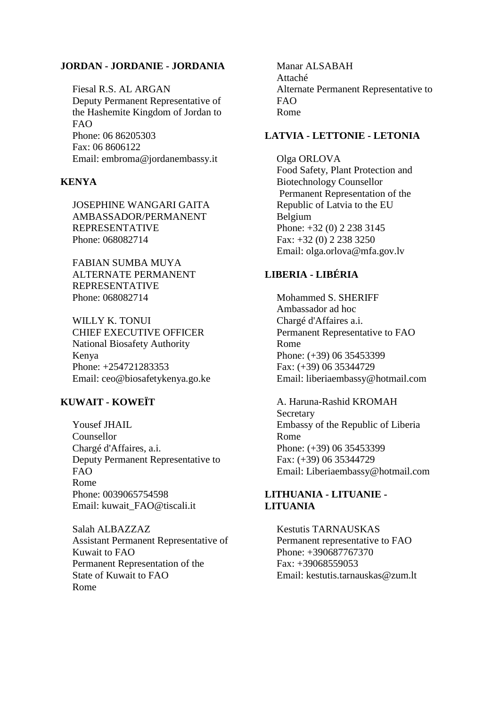#### **JORDAN - JORDANIE - JORDANIA**

Fiesal R.S. AL ARGAN Deputy Permanent Representative of the Hashemite Kingdom of Jordan to FAO Phone: 06 86205303 Fax: 06 8606122 Email: embroma@jordanembassy.it

## **KENYA**

JOSEPHINE WANGARI GAITA AMBASSADOR/PERMANENT REPRESENTATIVE Phone: 068082714

FABIAN SUMBA MUYA ALTERNATE PERMANENT REPRESENTATIVE Phone: 068082714

WILLY K. TONUI CHIEF EXECUTIVE OFFICER National Biosafety Authority Kenya Phone: +254721283353 Email: ceo@biosafetykenya.go.ke

## **KUWAIT - KOWEÏT**

Yousef JHAIL Counsellor Chargé d'Affaires, a.i. Deputy Permanent Representative to FAO Rome Phone: 0039065754598 Email: kuwait\_FAO@tiscali.it

Salah ALBAZZAZ Assistant Permanent Representative of Kuwait to FAO Permanent Representation of the State of Kuwait to FAO Rome

Manar ALSABAH Attaché Alternate Permanent Representative to FAO Rome

## **LATVIA - LETTONIE - LETONIA**

Olga ORLOVA Food Safety, Plant Protection and Biotechnology Counsellor Permanent Representation of the Republic of Latvia to the EU Belgium Phone: +32 (0) 2 238 3145 Fax: +32 (0) 2 238 3250 Email: olga.orlova@mfa.gov.lv

## **LIBERIA - LIBÉRIA**

Mohammed S. SHERIFF Ambassador ad hoc Chargé d'Affaires a.i. Permanent Representative to FAO Rome Phone: (+39) 06 35453399 Fax: (+39) 06 35344729 Email: liberiaembassy@hotmail.com

A. Haruna-Rashid KROMAH **Secretary** Embassy of the Republic of Liberia Rome Phone: (+39) 06 35453399 Fax: (+39) 06 35344729 Email: Liberiaembassy@hotmail.com

#### **LITHUANIA - LITUANIE - LITUANIA**

Kestutis TARNAUSKAS Permanent representative to FAO Phone: +390687767370 Fax: +39068559053 Email: kestutis.tarnauskas@zum.lt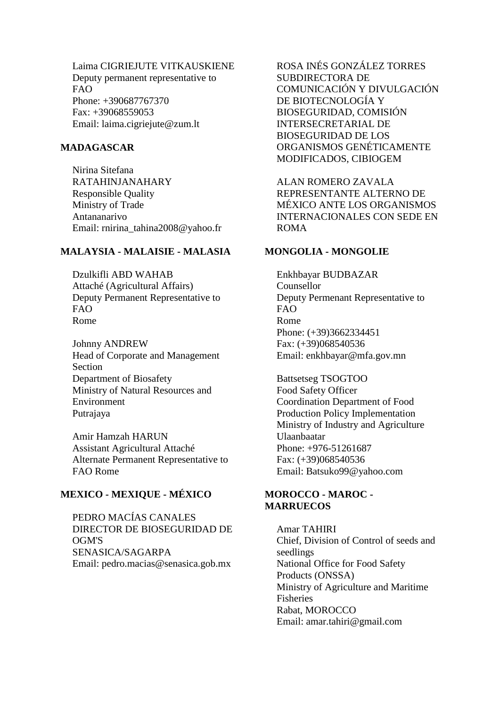Laima CIGRIEJUTE VITKAUSKIENE Deputy permanent representative to  $FAO$ Phone: +390687767370 Fax: +39068559053 Email: laima.cigriejute@zum.lt

#### **MADAGASCAR**

Nirina Sitefana RATAHINJANAHARY Responsible Quality Ministry of Trade Antananarivo Email: rnirina\_tahina2008@yahoo.fr

## **MALAYSIA - MALAISIE - MALASIA**

Dzulkifli ABD WAHAB Attaché (Agricultural Affairs) Deputy Permanent Representative to FAO Rome

Johnny ANDREW Head of Corporate and Management Section Department of Biosafety Ministry of Natural Resources and Environment Putrajaya

Amir Hamzah HARUN Assistant Agricultural Attaché Alternate Permanent Representative to FAO Rome

## **MEXICO - MEXIQUE - MÉXICO**

PEDRO MACÍAS CANALES DIRECTOR DE BIOSEGURIDAD DE OGM'S SENASICA/SAGARPA Email: pedro.macias@senasica.gob.mx

ROSA INÉS GONZÁLEZ TORRES SUBDIRECTORA DE COMUNICACIÓN Y DIVULGACIÓN DE BIOTECNOLOGÍA Y BIOSEGURIDAD, COMISIÓN INTERSECRETARIAL DE BIOSEGURIDAD DE LOS ORGANISMOS GENÉTICAMENTE MODIFICADOS, CIBIOGEM

ALAN ROMERO ZAVALA REPRESENTANTE ALTERNO DE MÉXICO ANTE LOS ORGANISMOS INTERNACIONALES CON SEDE EN ROMA

#### **MONGOLIA - MONGOLIE**

Enkhbayar BUDBAZAR Counsellor Deputy Permenant Representative to FAO Rome Phone: (+39)3662334451 Fax: (+39)068540536 Email: enkhbayar@mfa.gov.mn

Battsetseg TSOGTOO Food Safety Officer Coordination Department of Food Production Policy Implementation Ministry of Industry and Agriculture Ulaanbaatar Phone: +976-51261687 Fax: (+39)068540536 Email: Batsuko99@yahoo.com

#### **MOROCCO - MAROC - MARRUECOS**

Amar TAHIRI Chief, Division of Control of seeds and seedlings National Office for Food Safety Products (ONSSA) Ministry of Agriculture and Maritime **Fisheries** Rabat, MOROCCO Email: amar.tahiri@gmail.com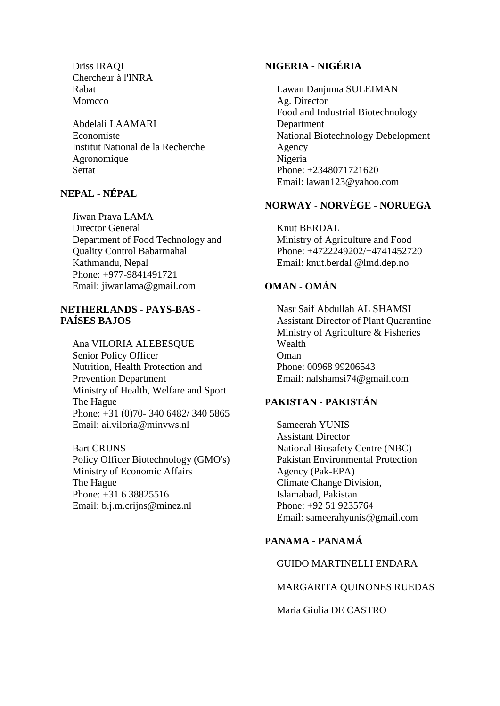Driss IRAQI Chercheur à l'INRA Rabat Morocco

Abdelali LAAMARI Economiste Institut National de la Recherche Agronomique **Settat** 

# **NEPAL - NÉPAL**

Jiwan Prava LAMA Director General Department of Food Technology and Quality Control Babarmahal Kathmandu, Nepal Phone: +977-9841491721 Email: jiwanlama@gmail.com

## **NETHERLANDS - PAYS-BAS - PAÍSES BAJOS**

Ana VILORIA ALEBESQUE Senior Policy Officer Nutrition, Health Protection and Prevention Department Ministry of Health, Welfare and Sport The Hague Phone: +31 (0)70- 340 6482/ 340 5865 Email: ai.viloria@minvws.nl

Bart CRIJNS Policy Officer Biotechnology (GMO's) Ministry of Economic Affairs The Hague Phone: +31 6 38825516 Email: b.j.m.crijns@minez.nl

# **NIGERIA - NIGÉRIA**

Lawan Danjuma SULEIMAN Ag. Director Food and Industrial Biotechnology Department National Biotechnology Debelopment Agency Nigeria Phone: +2348071721620 Email: lawan123@yahoo.com

## **NORWAY - NORVÈGE - NORUEGA**

Knut BERDAL Ministry of Agriculture and Food Phone: +4722249202/+4741452720 Email: knut.berdal @lmd.dep.no

# **OMAN - OMÁN**

Nasr Saif Abdullah AL SHAMSI Assistant Director of Plant Quarantine Ministry of Agriculture & Fisheries Wealth Oman Phone: 00968 99206543 Email: nalshamsi74@gmail.com

## **PAKISTAN - PAKISTÁN**

Sameerah YUNIS Assistant Director National Biosafety Centre (NBC) Pakistan Environmental Protection Agency (Pak-EPA) Climate Change Division, Islamabad, Pakistan Phone: +92 51 9235764 Email: sameerahyunis@gmail.com

# **PANAMA - PANAMÁ**

# GUIDO MARTINELLI ENDARA

## MARGARITA QUINONES RUEDAS

Maria Giulia DE CASTRO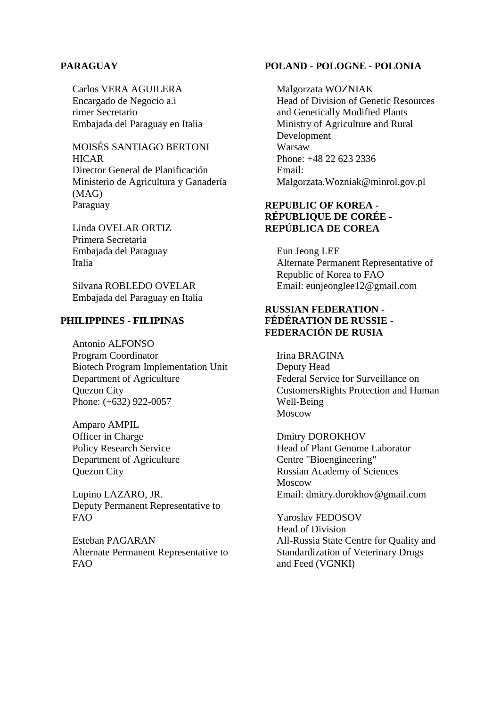#### **PARAGUAY**

Carlos VERA AGUILERA Encargado de Negocio a.i rimer Secretario Embajada del Paraguay en Italia

MOISÉS SANTIAGO BERTONI **HICAR** Director General de Planificación Ministerio de Agricultura y Ganadería (MAG) Paraguay

Linda OVELAR ORTIZ Primera Secretaria Embajada del Paraguay Italia

Silvana ROBLEDO OVELAR Embajada del Paraguay en Italia

#### **PHILIPPINES - FILIPINAS**

Antonio ALFONSO Program Coordinator Biotech Program Implementation Unit Department of Agriculture Quezon City Phone: (+632) 922-0057

Amparo AMPIL Officer in Charge Policy Research Service Department of Agriculture Quezon City

Lupino LAZARO, JR. Deputy Permanent Representative to FAO

Esteban PAGARAN Alternate Permanent Representative to FAO

#### **POLAND - POLOGNE - POLONIA**

Malgorzata WOZNIAK Head of Division of Genetic Resources and Genetically Modified Plants Ministry of Agriculture and Rural Development Warsaw Phone: +48 22 623 2336 Email: Malgorzata.Wozniak@minrol.gov.pl

## **REPUBLIC OF KOREA - RÉPUBLIQUE DE CORÉE - REPÚBLICA DE COREA**

Eun Jeong LEE Alternate Permanent Representative of Republic of Korea to FAO Email: eunjeonglee12@gmail.com

## **RUSSIAN FEDERATION - FÉDÉRATION DE RUSSIE - FEDERACIÓN DE RUSIA**

Irina BRAGINA Deputy Head Federal Service for Surveillance on CustomersRights Protection and Human Well-Being Moscow

Dmitry DOROKHOV Head of Plant Genome Laborator Centre "Bioengineering" Russian Academy of Sciences Moscow Email: dmitry.dorokhov@gmail.com

Yaroslav FEDOSOV Head of Division All-Russia State Centre for Quality and Standardization of Veterinary Drugs and Feed (VGNKI)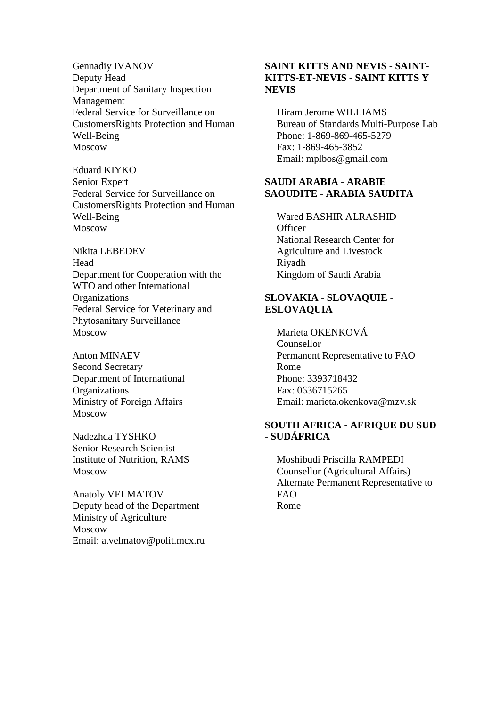Gennadiy IVANOV Deputy Head Department of Sanitary Inspection Management Federal Service for Surveillance on CustomersRights Protection and Human Well-Being Moscow

Eduard KIYKO Senior Expert Federal Service for Surveillance on CustomersRights Protection and Human Well-Being Moscow

Nikita LEBEDEV Head Department for Cooperation with the WTO and other International **Organizations** Federal Service for Veterinary and Phytosanitary Surveillance Moscow

Anton MINAEV Second Secretary Department of International **Organizations** Ministry of Foreign Affairs Moscow

Nadezhda TYSHKO Senior Research Scientist Institute of Nutrition, RAMS Moscow

Anatoly VELMATOV Deputy head of the Department Ministry of Agriculture Moscow Email: a.velmatov@polit.mcx.ru

## **SAINT KITTS AND NEVIS - SAINT-KITTS-ET-NEVIS - SAINT KITTS Y NEVIS**

Hiram Jerome WILLIAMS Bureau of Standards Multi-Purpose Lab Phone: 1-869-869-465-5279 Fax: 1-869-465-3852 Email: mplbos@gmail.com

#### **SAUDI ARABIA - ARABIE SAOUDITE - ARABIA SAUDITA**

Wared BASHIR ALRASHID **Officer** National Research Center for Agriculture and Livestock Riyadh Kingdom of Saudi Arabia

## **SLOVAKIA - SLOVAQUIE - ESLOVAQUIA**

Marieta OKENKOVÁ Counsellor Permanent Representative to FAO Rome Phone: 3393718432 Fax: 0636715265 Email: marieta.okenkova@mzv.sk

## **SOUTH AFRICA - AFRIQUE DU SUD - SUDÁFRICA**

Moshibudi Priscilla RAMPEDI Counsellor (Agricultural Affairs) Alternate Permanent Representative to FAO Rome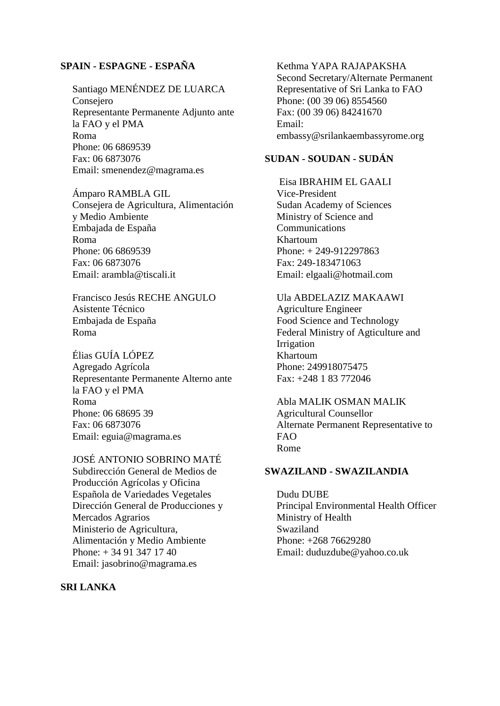## **SPAIN - ESPAGNE - ESPAÑA**

Santiago MENÉNDEZ DE LUARCA Consejero Representante Permanente Adjunto ante la FAO y el PMA Roma Phone: 06 6869539 Fax: 06 6873076 Email: smenendez@magrama.es

Ámparo RAMBLA GIL Consejera de Agricultura, Alimentación y Medio Ambiente Embajada de España Roma Phone: 06 6869539 Fax: 06 6873076 Email: arambla@tiscali.it

Francisco Jesús RECHE ANGULO Asistente Técnico Embajada de España Roma

Élias GUÍA LÓPEZ Agregado Agrícola Representante Permanente Alterno ante la FAO y el PMA Roma Phone: 06 68695 39 Fax: 06 6873076 Email: eguia@magrama.es

JOSÉ ANTONIO SOBRINO MATÉ Subdirección General de Medios de Producción Agrícolas y Oficina Española de Variedades Vegetales Dirección General de Producciones y Mercados Agrarios Ministerio de Agricultura, Alimentación y Medio Ambiente Phone: + 34 91 347 17 40

Email: jasobrino@magrama.es

**SRI LANKA**

Kethma YAPA RAJAPAKSHA Second Secretary/Alternate Permanent Representative of Sri Lanka to FAO Phone: (00 39 06) 8554560 Fax: (00 39 06) 84241670 Email: embassy@srilankaembassyrome.org

## **SUDAN - SOUDAN - SUDÁN**

Eisa IBRAHIM EL GAALI Vice-President Sudan Academy of Sciences Ministry of Science and Communications Khartoum Phone: + 249-912297863 Fax: 249-183471063 Email: elgaali@hotmail.com

Ula ABDELAZIZ MAKAAWI Agriculture Engineer Food Science and Technology Federal Ministry of Agticulture and Irrigation Khartoum Phone: 249918075475 Fax: +248 1 83 772046

Abla MALIK OSMAN MALIK Agricultural Counsellor Alternate Permanent Representative to FAO Rome

#### **SWAZILAND - SWAZILANDIA**

Dudu DUBE Principal Environmental Health Officer Ministry of Health Swaziland Phone: +268 76629280 Email: duduzdube@yahoo.co.uk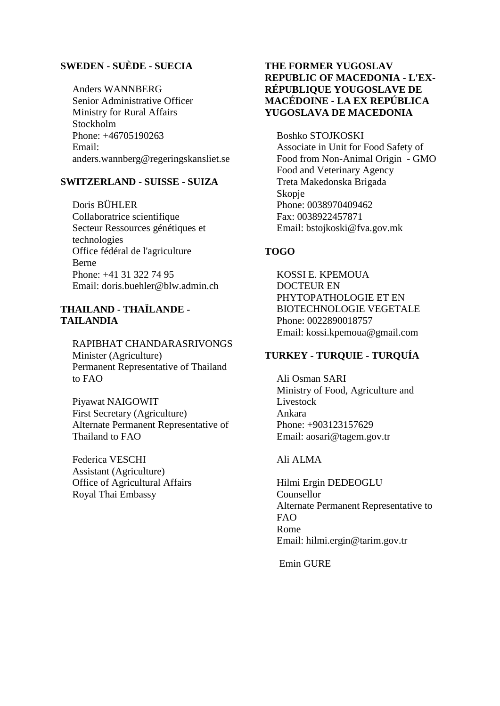## **SWEDEN - SUÈDE - SUECIA**

Anders WANNBERG Senior Administrative Officer Ministry for Rural Affairs Stockholm Phone: +46705190263 Email: anders.wannberg@regeringskansliet.se

## **SWITZERLAND - SUISSE - SUIZA**

Doris BÜHLER Collaboratrice scientifique Secteur Ressources génétiques et technologies Office fédéral de l'agriculture Berne Phone: +41 31 322 74 95 Email: doris.buehler@blw.admin.ch

## **THAILAND - THAÏLANDE - TAILANDIA**

RAPIBHAT CHANDARASRIVONGS Minister (Agriculture) Permanent Representative of Thailand to FAO

Piyawat NAIGOWIT First Secretary (Agriculture) Alternate Permanent Representative of Thailand to FAO

Federica VESCHI Assistant (Agriculture) Office of Agricultural Affairs Royal Thai Embassy

## **THE FORMER YUGOSLAV REPUBLIC OF MACEDONIA - L'EX-RÉPUBLIQUE YOUGOSLAVE DE MACÉDOINE - LA EX REPÚBLICA YUGOSLAVA DE MACEDONIA**

Boshko STOJKOSKI Associate in Unit for Food Safety of Food from Non-Animal Origin - GMO Food and Veterinary Agency Treta Makedonska Brigada Skopje Phone: 0038970409462 Fax: 0038922457871 Email: bstojkoski@fva.gov.mk

## **TOGO**

KOSSI E. KPEMOUA DOCTEUR EN PHYTOPATHOLOGIE ET EN BIOTECHNOLOGIE VEGETALE Phone: 0022890018757 Email: kossi.kpemoua@gmail.com

## **TURKEY - TURQUIE - TURQUÍA**

Ali Osman SARI Ministry of Food, Agriculture and Livestock Ankara Phone: +903123157629 Email: aosari@tagem.gov.tr

#### Ali ALMA

Hilmi Ergin DEDEOGLU Counsellor Alternate Permanent Representative to FAO Rome Email: hilmi.ergin@tarim.gov.tr

Emin GURE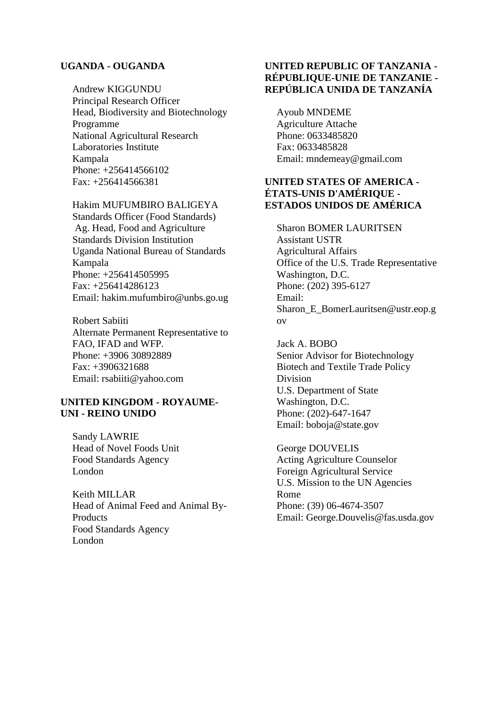#### **UGANDA - OUGANDA**

Andrew KIGGUNDU Principal Research Officer Head, Biodiversity and Biotechnology Programme National Agricultural Research Laboratories Institute Kampala Phone: +256414566102 Fax: +256414566381

#### Hakim MUFUMBIRO BALIGEYA

Standards Officer (Food Standards) Ag. Head, Food and Agriculture Standards Division Institution Uganda National Bureau of Standards Kampala Phone: +256414505995 Fax: +256414286123 Email: hakim.mufumbiro@unbs.go.ug

Robert Sabiiti Alternate Permanent Representative to FAO, IFAD and WFP. Phone: +3906 30892889 Fax: +3906321688 Email: rsabiiti@yahoo.com

#### **UNITED KINGDOM - ROYAUME-UNI - REINO UNIDO**

Sandy LAWRIE Head of Novel Foods Unit Food Standards Agency London

Keith MILLAR Head of Animal Feed and Animal By-Products Food Standards Agency London

## **UNITED REPUBLIC OF TANZANIA - RÉPUBLIQUE-UNIE DE TANZANIE - REPÚBLICA UNIDA DE TANZANÍA**

Ayoub MNDEME Agriculture Attache Phone: 0633485820 Fax: 0633485828 Email: mndemeay@gmail.com

## **UNITED STATES OF AMERICA - ÉTATS-UNIS D'AMÉRIQUE - ESTADOS UNIDOS DE AMÉRICA**

Sharon BOMER LAURITSEN Assistant USTR Agricultural Affairs Office of the U.S. Trade Representative Washington, D.C. Phone: (202) 395-6127 Email: Sharon\_E\_BomerLauritsen@ustr.eop.g ov

Jack A. BOBO Senior Advisor for Biotechnology Biotech and Textile Trade Policy Division U.S. Department of State Washington, D.C. Phone: (202)-647-1647 Email: boboja@state.gov

George DOUVELIS Acting Agriculture Counselor Foreign Agricultural Service U.S. Mission to the UN Agencies Rome Phone: (39) 06-4674-3507 Email: George.Douvelis@fas.usda.gov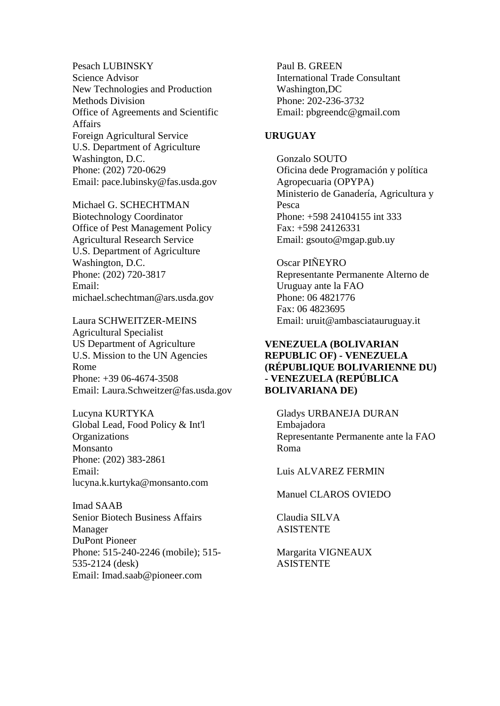Pesach LUBINSKY Science Advisor New Technologies and Production Methods Division Office of Agreements and Scientific Affairs Foreign Agricultural Service U.S. Department of Agriculture Washington, D.C. Phone: (202) 720-0629 Email: pace.lubinsky@fas.usda.gov

Michael G. SCHECHTMAN Biotechnology Coordinator Office of Pest Management Policy Agricultural Research Service U.S. Department of Agriculture Washington, D.C. Phone: (202) 720-3817 Email: michael.schechtman@ars.usda.gov

Laura SCHWEITZER-MEINS Agricultural Specialist US Department of Agriculture U.S. Mission to the UN Agencies Rome Phone: +39 06-4674-3508 Email: Laura.Schweitzer@fas.usda.gov

Lucyna KURTYKA Global Lead, Food Policy & Int'l **Organizations** Monsanto Phone: (202) 383-2861 Email: lucyna.k.kurtyka@monsanto.com

Imad SAAB Senior Biotech Business Affairs Manager DuPont Pioneer Phone: 515-240-2246 (mobile); 515- 535-2124 (desk) Email: Imad.saab@pioneer.com

Paul B. GREEN International Trade Consultant Washington,DC Phone: 202-236-3732 Email: pbgreendc@gmail.com

## **URUGUAY**

Gonzalo SOUTO Oficina dede Programación y política Agropecuaria (OPYPA) Ministerio de Ganadería, Agricultura y Pesca Phone: +598 24104155 int 333 Fax: +598 24126331 Email: gsouto@mgap.gub.uy

Oscar PIÑEYRO Representante Permanente Alterno de Uruguay ante la FAO Phone: 06 4821776 Fax: 06 4823695 Email: uruit@ambasciatauruguay.it

## **VENEZUELA (BOLIVARIAN REPUBLIC OF) - VENEZUELA (RÉPUBLIQUE BOLIVARIENNE DU) - VENEZUELA (REPÚBLICA BOLIVARIANA DE)**

Gladys URBANEJA DURAN Embajadora Representante Permanente ante la FAO Roma

Luis ALVAREZ FERMIN

Manuel CLAROS OVIEDO

Claudia SILVA ASISTENTE

Margarita VIGNEAUX ASISTENTE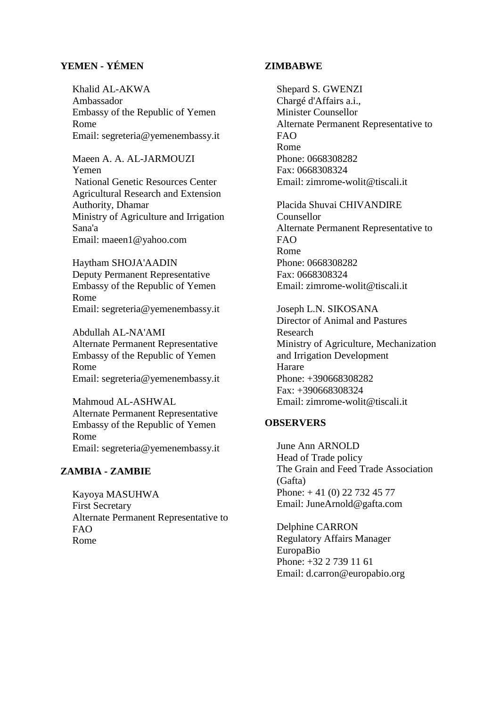## **YEMEN - YÉMEN**

Khalid AL-AKWA Ambassador Embassy of the Republic of Yemen Rome Email: segreteria@yemenembassy.it

Maeen A. A. AL-JARMOUZI Yemen National Genetic Resources Center Agricultural Research and Extension Authority, Dhamar Ministry of Agriculture and Irrigation Sana'a Email: maeen1@yahoo.com

Haytham SHOJA'AADIN Deputy Permanent Representative Embassy of the Republic of Yemen Rome Email: segreteria@yemenembassy.it

Abdullah AL-NA'AMI Alternate Permanent Representative Embassy of the Republic of Yemen Rome Email: segreteria@yemenembassy.it

Mahmoud AL-ASHWAL Alternate Permanent Representative Embassy of the Republic of Yemen Rome Email: segreteria@yemenembassy.it

## **ZAMBIA - ZAMBIE**

Kayoya MASUHWA First Secretary Alternate Permanent Representative to FAO Rome

#### **ZIMBABWE**

Shepard S. GWENZI Chargé d'Affairs a.i., Minister Counsellor Alternate Permanent Representative to FAO Rome Phone: 0668308282 Fax: 0668308324 Email: zimrome-wolit@tiscali.it

Placida Shuvai CHIVANDIRE Counsellor Alternate Permanent Representative to FAO Rome Phone: 0668308282 Fax: 0668308324 Email: zimrome-wolit@tiscali.it

Joseph L.N. SIKOSANA Director of Animal and Pastures Research Ministry of Agriculture, Mechanization and Irrigation Development Harare Phone: +390668308282 Fax: +390668308324 Email: zimrome-wolit@tiscali.it

## **OBSERVERS**

June Ann ARNOLD Head of Trade policy The Grain and Feed Trade Association (Gafta) Phone: + 41 (0) 22 732 45 77 Email: JuneArnold@gafta.com

Delphine CARRON Regulatory Affairs Manager EuropaBio Phone: +32 2 739 11 61 Email: d.carron@europabio.org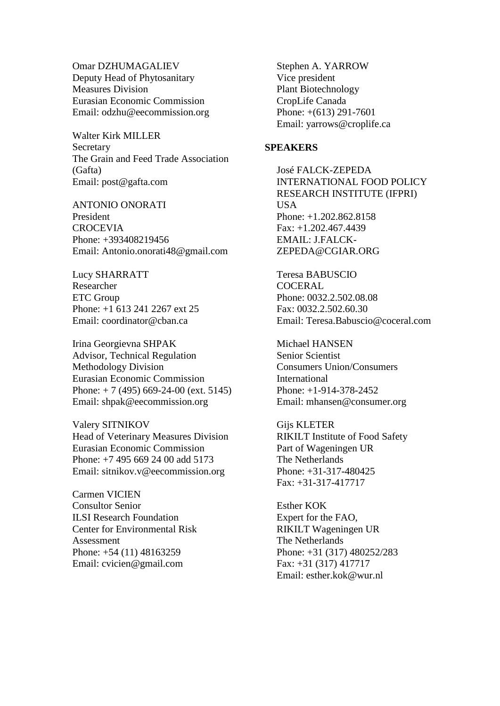Omar DZHUMAGALIEV Deputy Head of Phytosanitary Measures Division Eurasian Economic Commission Email: odzhu@eecommission.org

Walter Kirk MILLER Secretary The Grain and Feed Trade Association (Gafta) Email: post@gafta.com

ANTONIO ONORATI President **CROCEVIA** Phone: +393408219456 Email: Antonio.onorati48@gmail.com

Lucy SHARRATT Researcher ETC Group Phone: +1 613 241 2267 ext 25 Email: coordinator@chan.ca

Irina Georgievna SHPAK Advisor, Technical Regulation Methodology Division Eurasian Economic Commission Phone: + 7 (495) 669-24-00 (ext. 5145) Email: shpak@eecommission.org

Valery SITNIKOV Head of Veterinary Measures Division Eurasian Economic Commission Phone: +7 495 669 24 00 add 5173 Email: sitnikov.v@eecommission.org

Carmen VICIEN Consultor Senior ILSI Research Foundation Center for Environmental Risk Assessment Phone: +54 (11) 48163259 Email: cvicien@gmail.com

Stephen A. YARROW Vice president Plant Biotechnology CropLife Canada Phone: +(613) 291-7601 Email: yarrows@croplife.ca

#### **SPEAKERS**

José FALCK-ZEPEDA INTERNATIONAL FOOD POLICY RESEARCH INSTITUTE (IFPRI) USA Phone: +1.202.862.8158 Fax: +1.202.467.4439 EMAIL: J.FALCK-ZEPEDA@CGIAR.ORG

Teresa BABUSCIO **COCERAL** Phone: 0032.2.502.08.08 Fax: 0032.2.502.60.30 Email: Teresa.Babuscio@coceral.com

Michael HANSEN Senior Scientist Consumers Union/Consumers International Phone: +1-914-378-2452 Email: mhansen@consumer.org

Gijs KLETER RIKILT Institute of Food Safety Part of Wageningen UR The Netherlands Phone: +31-317-480425 Fax: +31-317-417717

Esther KOK Expert for the FAO, RIKILT Wageningen UR The Netherlands Phone: +31 (317) 480252/283 Fax: +31 (317) 417717 Email: esther.kok@wur.nl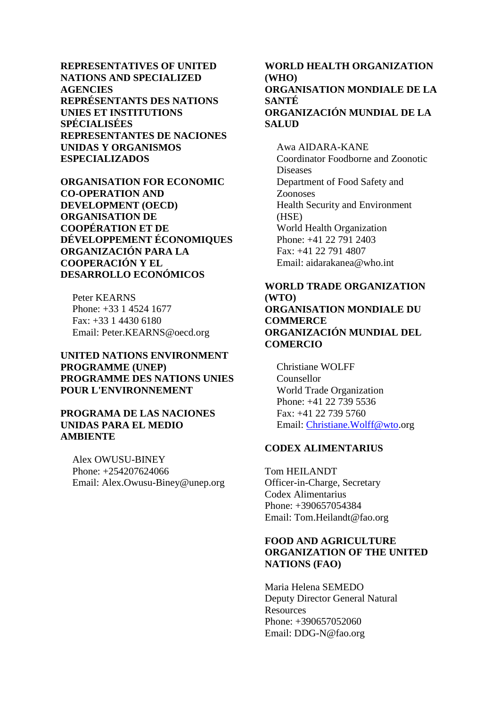**REPRESENTATIVES OF UNITED NATIONS AND SPECIALIZED AGENCIES REPRÉSENTANTS DES NATIONS UNIES ET INSTITUTIONS SPÉCIALISÉES REPRESENTANTES DE NACIONES UNIDAS Y ORGANISMOS ESPECIALIZADOS**

**ORGANISATION FOR ECONOMIC CO-OPERATION AND DEVELOPMENT (OECD) ORGANISATION DE COOPÉRATION ET DE DÉVELOPPEMENT ÉCONOMIQUES ORGANIZACIÓN PARA LA COOPERACIÓN Y EL DESARROLLO ECONÓMICOS**

Peter KEARNS Phone: +33 1 4524 1677 Fax: +33 1 4430 6180 Email: Peter.KEARNS@oecd.org

#### **UNITED NATIONS ENVIRONMENT PROGRAMME (UNEP) PROGRAMME DES NATIONS UNIES POUR L'ENVIRONNEMENT**

## **PROGRAMA DE LAS NACIONES UNIDAS PARA EL MEDIO AMBIENTE**

Alex OWUSU-BINEY Phone: +254207624066 Email: Alex.Owusu-Biney@unep.org

# **WORLD HEALTH ORGANIZATION (WHO) ORGANISATION MONDIALE DE LA SANTÉ ORGANIZACIÓN MUNDIAL DE LA SALUD**

Awa AIDARA-KANE Coordinator Foodborne and Zoonotic Diseases Department of Food Safety and Zoonoses Health Security and Environment (HSE) World Health Organization Phone: +41 22 791 2403 Fax: +41 22 791 4807 Email: aidarakanea@who.int

### **WORLD TRADE ORGANIZATION (WTO) ORGANISATION MONDIALE DU**

**COMMERCE ORGANIZACIÓN MUNDIAL DEL COMERCIO**

Christiane WOLFF Counsellor World Trade Organization Phone: +41 22 739 5536 Fax: +41 22 739 5760 Email: [Christiane.Wolff@wto.](mailto:Christiane.Wolff@wto)org

## **CODEX ALIMENTARIUS**

Tom HEILANDT Officer-in-Charge, Secretary Codex Alimentarius Phone: +390657054384 Email: Tom.Heilandt@fao.org

## **FOOD AND AGRICULTURE ORGANIZATION OF THE UNITED NATIONS (FAO)**

Maria Helena SEMEDO Deputy Director General Natural **Resources** Phone: +390657052060 Email: DDG-N@fao.org